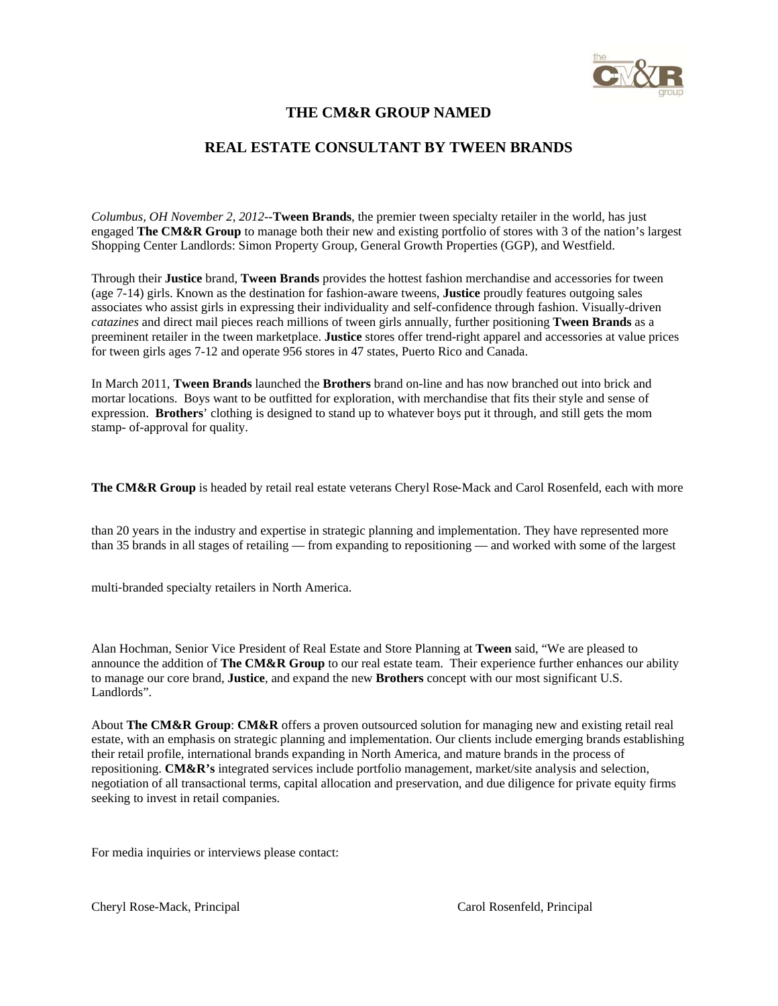

## $\mathcal{L}^{\text{cusp}}$ **THE CM&R GROUP NAMED**

## **REAL ESTATE CONSULTANT BY TWEEN BRANDS**

*Columbus, OH November 2, 2012*--**Tween Brands**, the premier tween specialty retailer in the world, has just engaged **The CM&R Group** to manage both their new and existing portfolio of stores with 3 of the nation's largest Shopping Center Landlords: Simon Property Group, General Growth Properties (GGP), and Westfield.

Through their **Justice** brand, **Tween Brands** provides the hottest fashion merchandise and accessories for tween (age 7-14) girls. Known as the destination for fashion-aware tweens, **Justice** proudly features outgoing sales associates who assist girls in expressing their individuality and self-confidence through fashion. Visually-driven *catazines* and direct mail pieces reach millions of tween girls annually, further positioning **Tween Brands** as a preeminent retailer in the tween marketplace. **Justice** stores offer trend-right apparel and accessories at value prices for tween girls ages 7-12 and operate 956 stores in 47 states, Puerto Rico and Canada.

In March 2011, **Tween Brands** launched the **Brothers** brand on-line and has now branched out into brick and mortar locations. Boys want to be outfitted for exploration, with merchandise that fits their style and sense of expression. **Brothers**' clothing is designed to stand up to whatever boys put it through, and still gets the mom stamp- of-approval for quality.

**The CM&R Group** is headed by retail real estate veterans Cheryl Rose-Mack and Carol Rosenfeld, each with more

than 20 years in the industry and expertise in strategic planning and implementation. They have represented more than 35 brands in all stages of retailing — from expanding to repositioning — and worked with some of the largest

multi‐branded specialty retailers in North America.

Alan Hochman, Senior Vice President of Real Estate and Store Planning at **Tween** said, "We are pleased to announce the addition of **The CM&R Group** to our real estate team. Their experience further enhances our ability to manage our core brand, **Justice**, and expand the new **Brothers** concept with our most significant U.S. Landlords"

About **The CM&R Group**: **CM&R** offers a proven outsourced solution for managing new and existing retail real estate, with an emphasis on strategic planning and implementation. Our clients include emerging brands establishing their retail profile, international brands expanding in North America, and mature brands in the process of repositioning. **CM&R's** integrated services include portfolio management, market/site analysis and selection, negotiation of all transactional terms, capital allocation and preservation, and due diligence for private equity firms seeking to invest in retail companies.

For media inquiries or interviews please contact:

Cheryl Rose-Mack, Principal Carol Rosenfeld, Principal